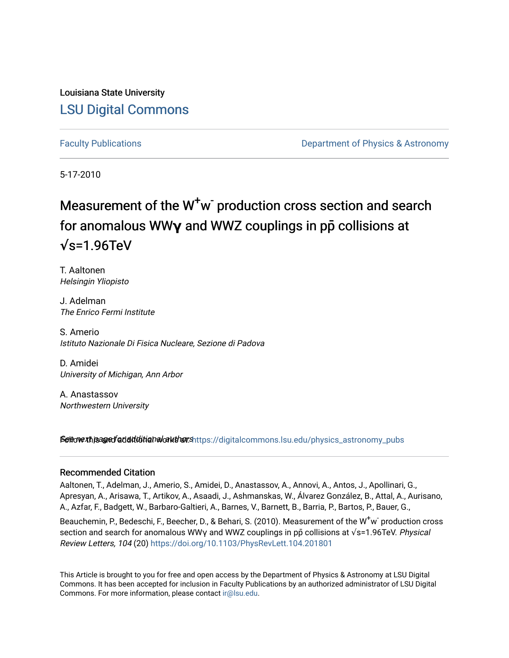Louisiana State University [LSU Digital Commons](https://digitalcommons.lsu.edu/)

[Faculty Publications](https://digitalcommons.lsu.edu/physics_astronomy_pubs) **Example 2** Constant Department of Physics & Astronomy

5-17-2010

## Measurement of the W<sup>+</sup>w<sup>-</sup> production cross section and search for anomalous WW**γ** and WWZ couplings in pp**̄** collisions at **√**s=1.96TeV

T. Aaltonen Helsingin Yliopisto

J. Adelman The Enrico Fermi Institute

S. Amerio Istituto Nazionale Di Fisica Nucleare, Sezione di Padova

D. Amidei University of Michigan, Ann Arbor

A. Anastassov Northwestern University

Settovext paged additional authors https://digitalcommons.lsu.edu/physics\_astronomy\_pubs

## Recommended Citation

Aaltonen, T., Adelman, J., Amerio, S., Amidei, D., Anastassov, A., Annovi, A., Antos, J., Apollinari, G., Apresyan, A., Arisawa, T., Artikov, A., Asaadi, J., Ashmanskas, W., Álvarez González, B., Attal, A., Aurisano, A., Azfar, F., Badgett, W., Barbaro-Galtieri, A., Barnes, V., Barnett, B., Barria, P., Bartos, P., Bauer, G.,

Beauchemin, P., Bedeschi, F., Beecher, D., & Behari, S. (2010). Measurement of the W $^{\text{+}}$ w $^{\text{-}}$ production cross section and search for anomalous WWy and WWZ couplings in pp collisions at  $\sqrt{s}$ =1.96TeV. Physical Review Letters, 104 (20)<https://doi.org/10.1103/PhysRevLett.104.201801>

This Article is brought to you for free and open access by the Department of Physics & Astronomy at LSU Digital Commons. It has been accepted for inclusion in Faculty Publications by an authorized administrator of LSU Digital Commons. For more information, please contact [ir@lsu.edu](mailto:ir@lsu.edu).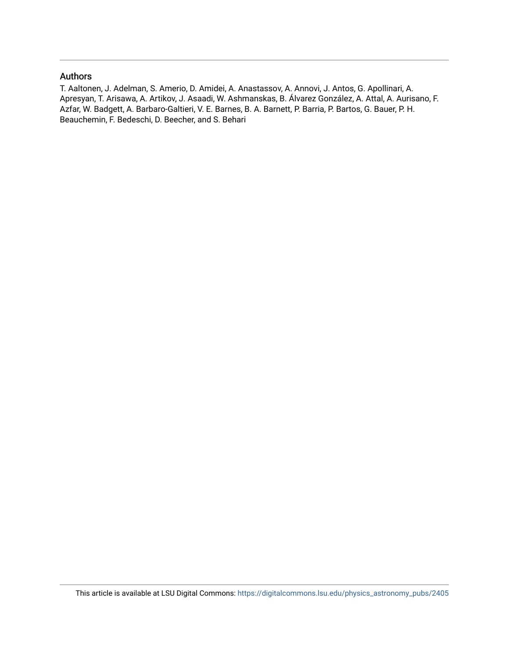## Authors

T. Aaltonen, J. Adelman, S. Amerio, D. Amidei, A. Anastassov, A. Annovi, J. Antos, G. Apollinari, A. Apresyan, T. Arisawa, A. Artikov, J. Asaadi, W. Ashmanskas, B. Álvarez González, A. Attal, A. Aurisano, F. Azfar, W. Badgett, A. Barbaro-Galtieri, V. E. Barnes, B. A. Barnett, P. Barria, P. Bartos, G. Bauer, P. H. Beauchemin, F. Bedeschi, D. Beecher, and S. Behari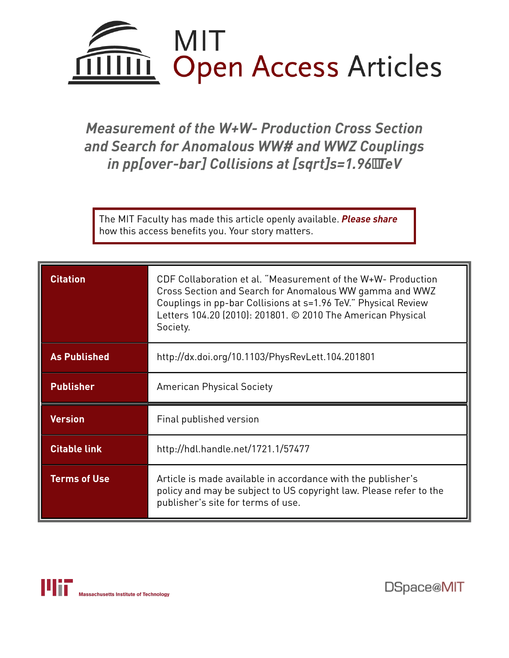

*Measurement of the W+W- Production Cross Section and Search for Anomalous WW# and WWZ Couplings in pp[over-bar] Collisions at [sqrt]s=1.96TeV*

The MIT Faculty has made this article openly available. *[Please](https://libraries.mit.edu/forms/dspace-oa-articles.html) share* how this access benefits you. Your story matters.

| <b>Citation</b>     | CDF Collaboration et al. "Measurement of the W+W- Production<br>Cross Section and Search for Anomalous WW gamma and WWZ<br>Couplings in pp-bar Collisions at s=1.96 TeV." Physical Review<br>Letters 104.20 (2010): 201801. © 2010 The American Physical<br>Society. |  |  |  |
|---------------------|----------------------------------------------------------------------------------------------------------------------------------------------------------------------------------------------------------------------------------------------------------------------|--|--|--|
| <b>As Published</b> | http://dx.doi.org/10.1103/PhysRevLett.104.201801                                                                                                                                                                                                                     |  |  |  |
| <b>Publisher</b>    | <b>American Physical Society</b>                                                                                                                                                                                                                                     |  |  |  |
| <b>Version</b>      | Final published version                                                                                                                                                                                                                                              |  |  |  |
| <b>Citable link</b> | http://hdl.handle.net/1721.1/57477                                                                                                                                                                                                                                   |  |  |  |
| <b>Terms of Use</b> | Article is made available in accordance with the publisher's<br>policy and may be subject to US copyright law. Please refer to the<br>publisher's site for terms of use.                                                                                             |  |  |  |

DSpace@MIT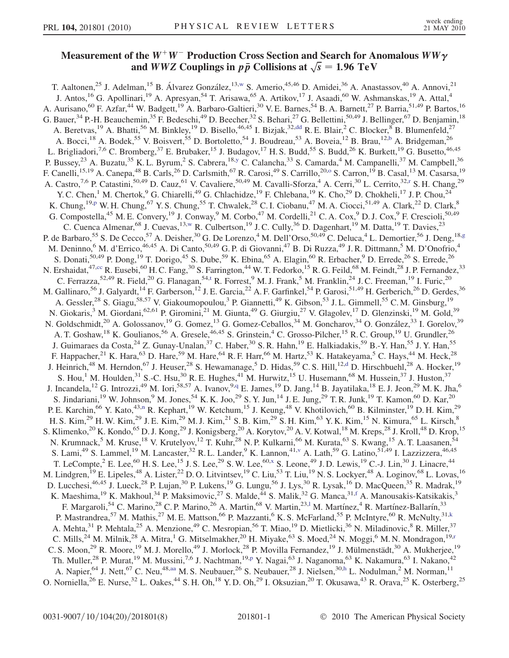## Measurement of the  $W^+W^-$  Production Cross Section and Search for Anomalous  $WW\gamma$ and *WWZ* Couplings in  $p\bar{p}$  Collisions at  $\sqrt{s} = 1.96 \text{ TeV}$

<span id="page-3-18"></span><span id="page-3-17"></span><span id="page-3-16"></span><span id="page-3-15"></span><span id="page-3-14"></span><span id="page-3-13"></span><span id="page-3-12"></span><span id="page-3-11"></span><span id="page-3-10"></span><span id="page-3-9"></span><span id="page-3-8"></span><span id="page-3-7"></span><span id="page-3-6"></span><span id="page-3-5"></span><span id="page-3-4"></span><span id="page-3-3"></span><span id="page-3-2"></span><span id="page-3-1"></span><span id="page-3-0"></span>T. Aaltonen,<sup>25</sup> J. Adelman,<sup>15</sup> B. Álvarez González,<sup>13,[w](#page-9-0)</sup> S. Amerio,<sup>45,46</sup> D. Amidei,<sup>36</sup> A. Anastassov,<sup>40</sup> A. Annovi,<sup>21</sup> J. Antos,<sup>16</sup> G. Apollinari,<sup>19</sup> A. Apresyan,<sup>54</sup> T. Arisawa,<sup>65</sup> A. Artikov,<sup>17</sup> J. Asaadi,<sup>60</sup> W. Ashmanskas,<sup>19</sup> A. Attal,<sup>4</sup> A. Aurisano,<sup>60</sup> F. Azfar,<sup>44</sup> W. Badgett,<sup>19</sup> A. Barbaro-Galtieri,<sup>30</sup> V. E. Barnes,<sup>54</sup> B. A. Barnett,<sup>27</sup> P. Barria,<sup>51,49</sup> P. Bartos,<sup>16</sup> G. Bauer,  $34$  P.-H. Beauchemin,  $35$  F. Bedeschi,  $49$  D. Beecher,  $32$  S. Behari,  $27$  G. Bellettini,  $50,49$  J. Bellinger,  $67$  D. Benjamin,  $18$ A. Beretvas,<sup>19</sup> A. Bhatti,<sup>56</sup> M. Binkley,<sup>19</sup> D. Bisello,<sup>46,45</sup> I. Bizjak,<sup>32,[dd](#page-9-1)</sup> R. E. Blair,<sup>2</sup> C. Blocker,<sup>8</sup> B. Blumenfeld,<sup>27</sup> A. Bocci,<sup>18</sup> A. Bodek,<sup>55</sup> V. Boisvert,<sup>55</sup> D. Bortoletto,<sup>54</sup> J. Boudreau,<sup>53</sup> A. Boveia,<sup>12</sup> B. Brau,<sup>12,[b](#page-9-2)</sup> A. Bridgeman,<sup>26</sup> L. Brigliadori,<sup>7,6</sup> C. Bromberg,<sup>37</sup> E. Brubaker,<sup>15</sup> J. Budagov,<sup>17</sup> H. S. Budd,<sup>55</sup> S. Budd,<sup>26</sup> K. Burkett,<sup>19</sup> G. Busetto,<sup>46,45</sup> P. Busse[y](#page-9-3),<sup>23</sup> A. Buzatu,<sup>35</sup> K. L. Byrum,<sup>2</sup> S. Cabrera,<sup>18,y</sup> C. Calancha,<sup>33</sup> S. Camarda,<sup>4</sup> M. Campanelli,<sup>37</sup> M. Campbell,<sup>36</sup> F. Canelli,<sup>15,19</sup> A. Canepa,<sup>48</sup> B. Carls,<sup>26</sup> D. Carlsmith,<sup>67</sup> R. Car[o](#page-9-4)si,<sup>49</sup> S. Carrillo,<sup>20,0</sup> S. Carron,<sup>19</sup> B. Casal,<sup>13</sup> M. Casarsa,<sup>19</sup> A. Cast[r](#page-9-5)o,<sup>7,6</sup> P. Catastini,<sup>50,49</sup> D. Cauz,<sup>61</sup> V. Cavaliere,<sup>50,49</sup> M. Cavalli-Sforza,<sup>4</sup> A. Cerri,<sup>30</sup> L. Cerrito,<sup>32,r</sup> S. H. Chang,<sup>29</sup> Y. C. Chen,<sup>1</sup> M. Chertok,<sup>9</sup> G. Chiarelli,<sup>49</sup> G. Chlachidze,<sup>19</sup> F. Chlebana,<sup>19</sup> K. Cho,<sup>29</sup> D. Chokheli,<sup>17</sup> J. P. Chou,<sup>24</sup> K. Chung,<su[p](#page-9-6)>19,p</sup> W. H. Chung,<sup>67</sup> Y. S. Chung,<sup>55</sup> T. Chwalek,<sup>28</sup> C. I. Ciobanu,<sup>47</sup> M. A. Ciocci,<sup>51,49</sup> A. Clark,<sup>22</sup> D. Clark,<sup>8</sup> G. Compostella,<sup>45</sup> M. E. Convery,<sup>19</sup> J. Conway,<sup>9</sup> M. Corbo,<sup>47</sup> M. Cordelli,<sup>21</sup> C. A. Cox,<sup>9</sup> D. J. Cox,<sup>9</sup> F. Crescioli,<sup>50,49</sup> C. Cuenca Almenar,<sup>68</sup> J. Cuevas,<sup>13,[w](#page-9-0)</sup> R. Culbertson,<sup>19</sup> J. C. Cully,<sup>36</sup> D. Dagenhart,<sup>19</sup> M. Datta,<sup>19</sup> T. Davies,<sup>23</sup> P. de Barbaro,<sup>55</sup> S. De Cecco,<sup>57</sup> A. Deisher,<sup>30</sup> G. De Lorenzo,<sup>4</sup> M. Dell'Orso,<sup>50,49</sup> C. Deluca,<sup>4</sup> L. Demortier,<sup>56</sup> J. Deng,<sup>18[,g](#page-9-7)</sup> M. Deninno,<sup>6</sup> M. d'Errico,<sup>46,45</sup> A. Di Canto,<sup>50,49</sup> G. P. di Giovanni,<sup>47</sup> B. Di Ruzza,<sup>49</sup> J. R. Dittmann,<sup>5</sup> M. D'Onofrio,<sup>4</sup> S. Donati,<sup>50,49</sup> P. Dong,<sup>19</sup> T. Dorigo,<sup>45</sup> S. Dube,<sup>59</sup> K. Ebina,<sup>65</sup> A. Elagin,<sup>60</sup> R. Erbacher,<sup>9</sup> D. Errede,<sup>26</sup> S. Errede,<sup>26</sup> N. Ershaidat,<sup>47,[cc](#page-9-8)</sup> R. Eusebi,<sup>60</sup> H. C. Fang,<sup>30</sup> S. Farrington,<sup>44</sup> W. T. Fedorko,<sup>15</sup> R. G. Feild,<sup>68</sup> M. Feindt,<sup>28</sup> J. P. Fernandez,<sup>33</sup> C. Ferrazza,  $52,49$  R. Field,  $20$  G. Flanagan,  $54,$ t R. Forrest,  $9$  M. J. Frank,  $5$  M. Franklin,  $24$  J. C. Freeman,  $19$  I. Furic,  $20$ M. Gallinaro,<sup>56</sup> J. Galyardt,<sup>14</sup> F. Garberson,<sup>12</sup> J. E. Garcia,<sup>22</sup> A. F. Garfinkel,<sup>54</sup> P. Garosi,<sup>51,49</sup> H. Gerberich,<sup>26</sup> D. Gerdes,<sup>36</sup> A. Gessler,<sup>28</sup> S. Giagu,<sup>58,57</sup> V. Giakoumopoulou,<sup>3</sup> P. Giannetti,<sup>49</sup> K. Gibson,<sup>53</sup> J.L. Gimmell,<sup>55</sup> C.M. Ginsburg,<sup>19</sup> N. Giokaris,<sup>3</sup> M. Giordani,<sup>62,61</sup> P. Giromini,<sup>21</sup> M. Giunta,<sup>49</sup> G. Giurgiu,<sup>27</sup> V. Glagolev,<sup>17</sup> D. Glenzinski,<sup>19</sup> M. Gold,<sup>39</sup> N. Goldschmidt,<sup>20</sup> A. Golossanov,<sup>19</sup> G. Gomez,<sup>13</sup> G. Gomez-Ceballos,<sup>34</sup> M. Goncharov,<sup>34</sup> O. González,<sup>33</sup> I. Gorelov,<sup>39</sup> A. T. Goshaw, <sup>18</sup> K. Goulianos, <sup>56</sup> A. Gresele, <sup>46,45</sup> S. Grinstein, <sup>4</sup> C. Grosso-Pilcher, <sup>15</sup> R. C. Group, <sup>19</sup> U. Grundler, <sup>26</sup> J. Guimaraes da Costa,<sup>24</sup> Z. Gunay-Unalan,<sup>37</sup> C. Haber,<sup>30</sup> S. R. Hahn,<sup>19</sup> E. Halkiadakis,<sup>59</sup> B.-Y. Han,<sup>55</sup> J. Y. Han,<sup>55</sup> F. Happacher,<sup>21</sup> K. Hara,<sup>63</sup> D. Hare,<sup>59</sup> M. Hare,<sup>64</sup> R. F. Harr,<sup>66</sup> M. Hartz,<sup>53</sup> K. Hatakeyama,<sup>5</sup> C. Hays,<sup>44</sup> M. Heck,<sup>28</sup> J. Heinrich,<sup>48</sup> M. Herndon,<sup>67</sup> J. Heuser,<sup>28</sup> S. Hewamanage,<sup>5</sup> D. Hidas,<sup>59</sup> C. S. Hill,<sup>12[,d](#page-9-10)</sup> D. Hirschbuehl,<sup>28</sup> A. Hocker,<sup>19</sup> S. Hou,<sup>1</sup> M. Houlden,<sup>31</sup> S.-C. Hsu,<sup>30</sup> R. E. Hughes,<sup>41</sup> M. Hurwitz,<sup>15</sup> U. Husemann,<sup>68</sup> M. Hussein,<sup>37</sup> J. Huston,<sup>37</sup> J. Incandela,<sup>12</sup> G. Introzzi,<sup>49</sup> M. Iori,<sup>58,57</sup> A. Ivanov,<sup>9,[q](#page-9-11)</sup> E. James,<sup>19</sup> D. Jang,<sup>14</sup> B. Jayatilaka,<sup>18</sup> E. J. Jeon,<sup>29</sup> M. K. Jha,<sup>6</sup> S. Jindariani,<sup>19</sup> W. Johnson,<sup>9</sup> M. Jones,<sup>54</sup> K. K. Joo,<sup>29</sup> S. Y. Jun,<sup>14</sup> J. E. Jung,<sup>29</sup> T. R. Junk,<sup>19</sup> T. Kamon,<sup>60</sup> D. Kar,<sup>20</sup> P. E. Karchi[n](#page-9-12),<sup>66</sup> Y. Kato,<sup>43,n</sup> R. Kephart,<sup>19</sup> W. Ketchum,<sup>15</sup> J. Keung,<sup>48</sup> V. Khotilovich,<sup>60</sup> B. Kilminster,<sup>19</sup> D. H. Kim,<sup>29</sup> H. S. Kim,<sup>29</sup> H. W. Kim,<sup>29</sup> J. E. Kim,<sup>29</sup> M. J. Kim,<sup>21</sup> S. B. Kim,<sup>29</sup> S. H. Kim,<sup>63</sup> Y. K. Kim,<sup>15</sup> N. Kimura,<sup>65</sup> L. Kirsch,<sup>8</sup> S. Klimenko,<sup>20</sup> K. Kondo,<sup>65</sup> D. J. Kong,<sup>29</sup> J. Konigsberg,<sup>20</sup> A. Korytov,<sup>20</sup> A. V. Kotwal,<sup>18</sup> M. Kreps,<sup>28</sup> J. Kroll,<sup>48</sup> D. Krop,<sup>15</sup> N. Krumnack,<sup>5</sup> M. Kruse,<sup>18</sup> V. Krutelyov,<sup>12</sup> T. Kuhr,<sup>28</sup> N. P. Kulkarni,<sup>66</sup> M. Kurata,<sup>63</sup> S. Kwang,<sup>15</sup> A. T. Laasanen,<sup>54</sup> S. Lami,<sup>49</sup> S. Lammel,<sup>19</sup> M. Lancaster,<sup>32</sup> R. L. Lander,<sup>9</sup> K. Lannon,<sup>41[,v](#page-9-13)</sup> A. Lath,<sup>59</sup> G. Latino,<sup>51,49</sup> I. Lazzizzera,<sup>46,45</sup> T. LeCompte,<sup>2</sup> E. Lee,<sup>60</sup> H. S. Lee,<sup>15</sup> J. S. Lee,<sup>29</sup> S. W. Lee,<sup>60,[x](#page-9-14)</sup> S. Leone,<sup>49</sup> J. D. Lewis,<sup>19</sup> C.-J. Lin,<sup>30</sup> J. Linacre,<sup>44</sup> M. Lindgren,<sup>19</sup> E. Lipeles,<sup>48</sup> A. Lister,<sup>22</sup> D. O. Litvintsev,<sup>19</sup> C. Liu,<sup>53</sup> T. Liu,<sup>19</sup> N. S. Lockyer,<sup>48</sup> A. Loginov,<sup>68</sup> L. Lovas,<sup>16</sup> D. Lucchesi,<sup>46,45</sup> J. Lueck,<sup>28</sup> P. Lujan,<sup>30</sup> P. Lukens,<sup>19</sup> G. Lungu,<sup>56</sup> J. Lys,<sup>30</sup> R. Lysak,<sup>16</sup> D. MacQueen,<sup>35</sup> R. Madrak,<sup>19</sup> K. Maeshima,<sup>19</sup> K. Makhoul,<sup>34</sup> P. Maksimovic,<sup>27</sup> S. Malde,<sup>44</sup> S. Malik,<sup>32</sup> G. Manca,<sup>31[,f](#page-9-15)</sup> A. Manousakis-Katsikakis,<sup>3</sup> F. Margaroli,<sup>54</sup> C. Marino,<sup>28</sup> C. P. Marino,<sup>26</sup> A. Martin,<sup>68</sup> V. Martin,<sup>23,1</sup> M. Martínez,<sup>4</sup> R. Martínez-Ballarín,<sup>33</sup> P. Mastrandrea,<sup>57</sup> M. Mathis,<sup>27</sup> M. E. Mattson,<sup>66</sup> P. Mazzanti,<sup>6</sup> K. S. McFarland,<sup>55</sup> P. McIntyre,<sup>60</sup> R. McNulty,<sup>31,[k](#page-9-17)</sup> A. Mehta,<sup>31</sup> P. Mehtala,<sup>25</sup> A. Menzione,<sup>49</sup> C. Mesropian,<sup>56</sup> T. Miao,<sup>19</sup> D. Mietlicki,<sup>36</sup> N. Miladinovic,<sup>8</sup> R. Miller,<sup>37</sup> C. Mills,  $^{24}$  M. Milnik,  $^{28}$  A. Mit[r](#page-9-5)a, <sup>1</sup> G. Mitselmakher,  $^{20}$  H. Miyake,  $^{63}$  S. Moed,  $^{24}$  N. Moggi,  $^{6}$  M. N. Mondragon,  $^{19,r}$ C. S. Moon,<sup>29</sup> R. Moore,<sup>19</sup> M. J. Morello,<sup>49</sup> J. Morlock,<sup>28</sup> P. Movilla Fernandez,<sup>19</sup> J. Mülmenstädt,<sup>30</sup> A. Mukherjee,<sup>19</sup> Th. Muller,<su[p](#page-9-6)>28</sup> P. Murat,<sup>19</sup> M. Mussini,<sup>7,6</sup> J. Nachtman,<sup>19,p</sup> Y. Nagai,<sup>63</sup> J. Naganoma,<sup>63</sup> K. Nakamura,<sup>63</sup> I. Nakano,<sup>42</sup> A. Napier, <sup>64</sup> J. Nett, <sup>67</sup> C. Neu, <sup>48, [aa](#page-9-18)</sup> M. S. Neubauer, <sup>26</sup> S. Neubauer, <sup>28</sup> J. Nielsen, <sup>30, h</sup> L. Nodulman, <sup>2</sup> M. Norman, <sup>11</sup> O. Norniella,<sup>26</sup> E. Nurse,<sup>32</sup> L. Oakes,<sup>44</sup> S. H. Oh,<sup>18</sup> Y. D. Oh,<sup>29</sup> I. Oksuzian,<sup>20</sup> T. Okusawa,<sup>43</sup> R. Orava,<sup>25</sup> K. Osterberg,<sup>25</sup>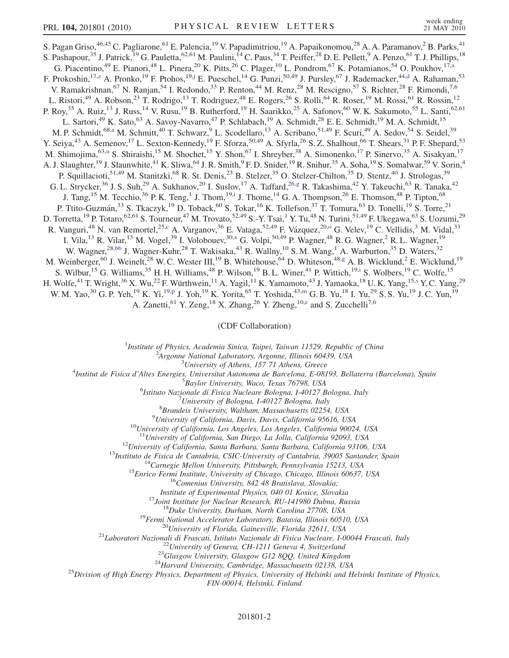<span id="page-4-7"></span><span id="page-4-4"></span><span id="page-4-0"></span>S. Pagan Griso,<sup>46,45</sup> C. Pagliarone,<sup>61</sup> E. Palencia,<sup>19</sup> V. Papadimitriou,<sup>19</sup> A. Papaikonomou,<sup>28</sup> A. A. Paramanov,<sup>2</sup> B. Parks,<sup>41</sup> S. Pashapour,<sup>35</sup> J. Patrick,<sup>19</sup> G. Pauletta,<sup>62,61</sup> M. Paulini,<sup>14</sup> C. Paus,<sup>34</sup> T. Peiffer,<sup>28</sup> D. E. Pellett,<sup>9</sup> A. Penzo,<sup>61</sup> T. J. Phillips,<sup>18</sup> G. Piacentino,<sup>49</sup> E. Pianori,<sup>48</sup> L. Pinera,<sup>20</sup> K. Pitts,<sup>26</sup> C. Plager,<sup>10</sup> L. Pondrom,<sup>67</sup> K. Potamianos,<sup>54</sup> O. Poukhov,<sup>17[,a](#page-9-20)</sup> F. Prokoshin, <sup>17[,z](#page-9-21)</sup> A. Pronko, <sup>19</sup> F. Ptohos, <sup>19,[j](#page-9-22)</sup> E. Pueschel, <sup>14</sup> G. Punzi, <sup>50,49</sup> J. Pursley, <sup>67</sup> J. Rademacker, <sup>44[,d](#page-9-10)</sup> A. Rahaman, <sup>53</sup> V. Ramakrishnan,<sup>67</sup> N. Ranjan,<sup>54</sup> I. Redondo,<sup>33</sup> P. Renton,<sup>44</sup> M. Renz,<sup>28</sup> M. Rescigno,<sup>57</sup> S. Richter,<sup>28</sup> F. Rimondi,<sup>7,6</sup> L. Ristori,<sup>49</sup> A. Robson,<sup>23</sup> T. Rodrigo,<sup>13</sup> T. Rodriguez,<sup>48</sup> E. Rogers,<sup>26</sup> S. Rolli,<sup>64</sup> R. Roser,<sup>19</sup> M. Rossi,<sup>61</sup> R. Rossin,<sup>12</sup> P. Roy,<sup>35</sup> A. Ruiz,<sup>13</sup> J. Russ,<sup>14</sup> V. Rusu,<sup>19</sup> B. Rutherford,<sup>19</sup> H. Saarikko,<sup>25</sup> A. Safonov,<sup>60</sup> W. K. Sakumoto,<sup>55</sup> L. Santi,<sup>62,61</sup> L. Sartori,<sup>49</sup> K. Sato,<sup>63</sup> A. Savoy-Navarro,<sup>47</sup> P. Schlabach,<sup>19</sup> A. Schmidt,<sup>28</sup> E. E. Schmidt,<sup>19</sup> M. A. Schmidt,<sup>15</sup> M. P. Schmidt,<sup>68[,a](#page-9-20)</sup> M. Schmitt,<sup>40</sup> T. Schwarz,<sup>9</sup> L. Scodellaro,<sup>13</sup> A. Scribano,<sup>51,49</sup> F. Scuri,<sup>49</sup> A. Sedov,<sup>54</sup> S. Seidel,<sup>39</sup> Y. Seiya,<sup>43</sup> A. Semenov,<sup>17</sup> L. Sexton-Kennedy,<sup>19</sup> F. Sforza,<sup>50,49</sup> A. Sfyrla,<sup>26</sup> S. Z. Shalhout,<sup>66</sup> T. Shears,<sup>31</sup> P. F. Shepard,<sup>53</sup> M. Shimojima,<s[u](#page-9-23)p>63,u</sup> S. Shiraishi,<sup>15</sup> M. Shochet,<sup>15</sup> Y. Shon,<sup>67</sup> I. Shreyber,<sup>38</sup> A. Simonenko,<sup>17</sup> P. Sinervo,<sup>35</sup> A. Sisakyan,<sup>17</sup> A. J. Slaughter,<sup>19</sup> J. Slaunwhite,<sup>41</sup> K. Sliwa,<sup>64</sup> J. R. Smith,<sup>9</sup> F. D. Snider,<sup>19</sup> R. Snihur,<sup>35</sup> A. Soha,<sup>19</sup> S. Somalwar,<sup>59</sup> V. Sorin,<sup>4</sup> P. Squillacioti,<sup>51,49</sup> M. Stanitzki,<sup>68</sup> R. St. Denis,<sup>23</sup> B. Stelzer,<sup>35</sup> O. Stelzer-Chilton,<sup>35</sup> D. Stentz,<sup>40</sup> J. Strologas,<sup>39</sup> G. L. Strycker,<sup>36</sup> J. S. Suh,<sup>29</sup> A. Sukhanov,<sup>20</sup> I. Suslov,<sup>17</sup> A. Taffard,<sup>26[,g](#page-9-7)</sup> R. Takashima,<sup>42</sup> Y. Takeuchi,<sup>63</sup> R. Tanaka,<sup>42</sup> J. Tang,<sup>15</sup> M. Tecchio,<sup>36</sup> P. K. Teng,<sup>1</sup> J. Thom,<sup>19[,i](#page-9-24)</sup> J. Thome,<sup>14</sup> G. A. Thompson,<sup>26</sup> E. Thomson,<sup>48</sup> P. Tipton,<sup>68</sup> P. Tutto-Guzmán,<sup>33</sup> S. Tkaczyk,<sup>19</sup> D. Toback,<sup>60</sup> S. Tokar,<sup>16</sup> K. Tollefson,<sup>37</sup> T. Tomura,<sup>63</sup> D. Tonelli,<sup>19</sup> S. Torre,<sup>21</sup> D. Torretta, <sup>19</sup> P. Totaro, <sup>62,61</sup> S. Tourneur, <sup>47</sup> M. Trovato, <sup>52,49</sup> S.-Y. Tsai, <sup>1</sup> Y. Tu, <sup>48</sup> N. Turini, <sup>51,49</sup> F. Ukegawa, <sup>63</sup> S. Uozumi, <sup>29</sup> R. Vanguri,<sup>48</sup> N. van Remortel,<sup>25,[c](#page-9-25)</sup> A. Vargan[o](#page-9-4)v,<sup>36</sup> E. Vataga,<sup>52,49</sup> F. Vázquez,<sup>20,o</sup> G. Velev,<sup>19</sup> C. Vellidis,<sup>3</sup> M. Vidal,<sup>33</sup> I. Vila,<sup>13</sup> R. Vilar,<sup>13</sup> M. Vogel,<sup>39</sup> I. Volobouev,<sup>30,[x](#page-9-14)</sup> G. Volpi,<sup>50,49</sup> P. Wagner,<sup>48</sup> R. G. Wagner,<sup>2</sup> R. L. Wagner,<sup>19</sup> W. Wagner,<sup>28[,bb](#page-9-26)</sup> J. Wagner-Kuhr,<sup>28</sup> T. Wakisaka,<sup>43</sup> R. Wallny,<sup>10</sup> S. M. Wang,<sup>1</sup> A. Warburton,<sup>35</sup> D. Waters,<sup>32</sup> M. Weinberger,<sup>60</sup> J. Weinelt,<sup>28</sup> W. C. Wester III,<sup>19</sup> B. Whitehouse,<sup>64</sup> D. Whiteson,<sup>48[,g](#page-9-7)</sup> A. B. Wicklund,<sup>2</sup> E. Wicklund,<sup>19</sup> S. Wilbur,<sup>15</sup> G. Williams,<sup>35</sup> H. H. Williams,<sup>48</sup> P. Wilson,<sup>19</sup> B. L. Winer,<sup>41</sup> P. Wittich,<sup>19[,i](#page-9-24)</sup> S. Wolbers,<sup>19</sup> C. Wolfe,<sup>15</sup> H. Wolfe,<sup>41</sup> T. Wright,<sup>36</sup> X. Wu,<sup>22</sup> F. Würthwein,<sup>11</sup> A. Yagil,<sup>11</sup> K. Yamamoto,<sup>43</sup> J. Yamaoka,<sup>18</sup> U. K. Yang,<sup>15[,s](#page-9-27)</sup> Y. C. Yang,<sup>29</sup> W. M. Yao,<sup>30</sup> G. P. Yeh,<sup>19</sup> K. Yi,<sup>19[,p](#page-9-6)</sup> J. Yoh,<sup>19</sup> K. Yorita,<sup>65</sup> T. Yoshida,<sup>43[,m](#page-9-28)</sup> G. B. Yu,<sup>18</sup> I. Yu,<sup>29</sup> S. S. Yu,<sup>19</sup> J. C. Yun,<sup>19</sup>

<span id="page-4-8"></span><span id="page-4-3"></span><span id="page-4-1"></span>A. Zanetti, <sup>61</sup> Y. Zeng, <sup>18</sup> X. Zhang, <sup>26</sup> Y. Zheng, <sup>10[,e](#page-9-29)</sup> and S. Zucchelli<sup>7,6</sup>

(CDF Collaboration)

<sup>1</sup>Institute of Physics, Academia Sinica, Taipei, Taiwan 11529, Republic of China<br><sup>2</sup>Argonna National Laboratory, Argonna Illinois 60430, USA

 $^2$ Argonne National Laboratory, Argonne, Illinois 60439, USA<br> $^3$ University of Athens, 157 71 Athens, Greece

<span id="page-4-6"></span><span id="page-4-5"></span><span id="page-4-2"></span><sup>5</sup> University of Athens, 157 71 Athens, Greece  $\frac{3}{4}$  University of Athens, 157 71 Athens, Greece

Institut de Fisica d'Altes Energies, Universitat Autonoma de Barcelona, E-08193, Bellaterra (Barcelona), Spain <sup>5</sup>

<sup>5</sup>Baylor University, Waco, Texas 76798, USA

<sup>6</sup>Istituto Nazionale di Fisica Nucleare Bologna, I-40127 Bologna, Italy

 $^7$ University of Bologna, I-40127 Bologna, Italy

 ${}^{8}Br$ andeis University, Waltham, Massachusetts 02254, USA  ${}^{9}University$  of California, Davis, Davis, California 95616, USA

<sup>10</sup>University of California, Los Angeles, Los Angeles, California 90024, USA <sup>11</sup>University of California, San Diego, La Jolla, California 92093, USA

<sup>12</sup>University of California, Santa Barbara, Santa Barbara, California 93106, USA<br><sup>13</sup>Instituto de Fisica de Cantabria, CSIC-University of Cantabria, 39005 Santander, Spain<br><sup>14</sup>Carnegie Mellon University, Pittsburgh, Penn

17 Institute of Experimental Physics, 040 01 Kosice, Slovakia<br>
17 Joint Institute for Nuclear Research, RU-141980 Dubna, Russia<br>
18 Duke University, Durham, North Carolina 27708, USA<br>
19 Fermi National Accelerator Laborat

FIN-00014, Helsinki, Finland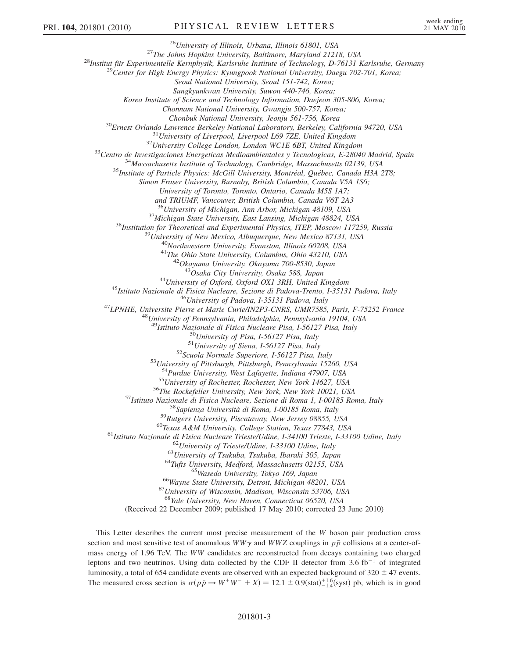<sup>26</sup>University of Illinois, Urbana, Illinois 61801, USA<br><sup>27</sup>The Johns Hopkins University, Baltimore, Maryland 21218, USA<br><sup>28</sup>Institut für Experimentelle Kernphysik, Karlsruhe Institute of Technology, D-76131 Karlsruhe, Ge Seoul National University, Seoul 151-742, Korea; Sungkyunkwan University, Suwon 440-746, Korea; Korea Institute of Science and Technology Information, Daejeon 305-806, Korea; Chonnam National University, Gwangju 500-757, Korea; Chonbuk National University, Jeonju 561-756, Korea<br><sup>30</sup>Ernest Orlando Lawrence Berkeley National Laboratory, Berkeley, California 94720, USA<br><sup>31</sup>University of Liverpool, Liverpool L69 7ZE, United Kingdom<br><sup>32</sup>University Col Simon Fraser University, Burnaby, British Columbia, Canada V5A 1S6; University of Toronto, Toronto, Ontario, Canada M5S 1A7; and TRIUMF, Vancouver, British Columbia, Canada V6T 2A3 <sup>36</sup>University of Michigan, Ann Arbor, Michigan 48109, USA<br><sup>37</sup>Michigan State University, East Lansing, Michigan 48824, USA<br><sup>38</sup>Institution for Theoretical and Experimental Physics, ITEP, Moscow 117259, Russia<br><sup>39</sup>Univers <sup>44</sup>University of Oxford, Oxford OX1 3RH, United Kingdom<br><sup>45</sup>Istituto Nazionale di Fisica Nucleare, Sezione di Padova-Trento, I-35131 Padova, Italy<br><sup>46</sup>University of Padova, I-35131 Padova, Italy<br><sup>47</sup>LPNHE, Universite Pie <sup>50</sup>University of Pisa, I-56127 Pisa, Italy<br><sup>51</sup>University of Siena, I-56127 Pisa, Italy<br><sup>52</sup>Scuola Normale Superiore, I-56127 Pisa, Italy<br><sup>53</sup>University of Pittsburgh, Pittsburgh, Pennsylvania 15260, USA<br><sup>54</sup>Purdue Unive <sup>54</sup>Purdue University, West Lafayette, Indiana 47907, USA<br>
<sup>55</sup>University of Rochester, Rochester, New York 14627, USA<br>
<sup>55</sup>University of Rochester, Rochester, New York 14627, USA<br>
<sup>56</sup>The Rockefeller University, New York  $^{67}$ University of Wisconsin, Madison, Wisconsin 53706, USA<br> $^{68}$ Yale University, New Haven, Connecticut 06520, USA (Received 22 December 2009; published 17 May 2010; corrected 23 June 2010)

This Letter describes the current most precise measurement of the W boson pair production cross section and most sensitive test of anomalous  $WW\gamma$  and  $WWZ$  couplings in  $p\bar{p}$  collisions at a center-ofmass energy of 1.96 TeV. The WW candidates are reconstructed from decays containing two charged leptons and two neutrinos. Using data collected by the CDF II detector from 3.6 fb<sup>-1</sup> of integrated luminosity, a total of 654 candidate events are observed with an expected background of 320  $\pm$  47 events.<br>The measured cross section is  $\sigma(n\bar{p} \rightarrow W^+W^- + Y) = 12.1 + 0.0(\text{stat})^{+1.6}(\text{syst})$  pb, which is in good The measured cross section is  $\sigma(p\bar{p} \to W^+W^- + X) = 12.1 \pm 0.9$  (stat)<sup>+1.6</sup> (syst) pb, which is in good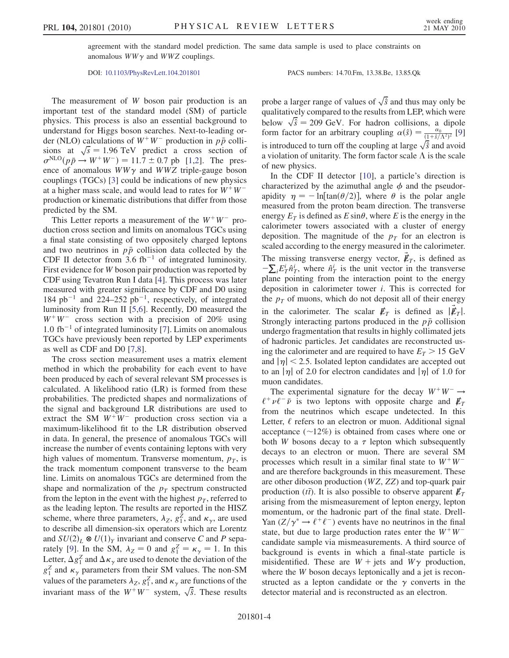agreement with the standard model prediction. The same data sample is used to place constraints on anomalous  $WW\gamma$  and  $WWZ$  couplings.

DOI: [10.1103/PhysRevLett.104.201801](http://dx.doi.org/10.1103/PhysRevLett.104.201801) PACS numbers: 14.70.Fm, 13.38.Be, 13.85.Qk

The measurement of W boson pair production is an important test of the standard model (SM) of particle physics. This process is also an essential background to understand for Higgs boson searches. Next-to-leading order (NLO) calculations of  $W^+W^-$  production in  $p\bar{p}$  collisions at  $\sqrt{s} = 1.96$  TeV predict a cross section of  $\sigma^{NLO}(n\bar{p} \rightarrow W^+W^-) = 11.7 \pm 0.7$  pb [1.2]. The pres- $\sigma^{\text{NLO}}(p\bar{p} \rightarrow W^+W^-) = 11.7 \pm 0.7$  $\sigma^{\text{NLO}}(p\bar{p} \rightarrow W^+W^-) = 11.7 \pm 0.7$  $\sigma^{\text{NLO}}(p\bar{p} \rightarrow W^+W^-) = 11.7 \pm 0.7$  pb [1[,2\]](#page-9-31). The pres-<br>ence of anomalous  $WW\gamma$  and  $WW\gamma$  triple-gauge boson ence of anomalous  $WW\gamma$  and  $WWZ$  triple-gauge boson couplings (TGCs) [[3](#page-9-32)] could be indications of new physics at a higher mass scale, and would lead to rates for  $W^+W^$ production or kinematic distributions that differ from those predicted by the SM.

This Letter reports a measurement of the  $W^+W^-$  production cross section and limits on anomalous TGCs using a final state consisting of two oppositely charged leptons and two neutrinos in  $p\bar{p}$  collision data collected by the CDF II detector from 3.6  $fb^{-1}$  of integrated luminosity. First evidence for W boson pair production was reported by CDF using Tevatron Run I data [[4](#page-9-33)]. This process was later measured with greater significance by CDF and D0 using 184 pb<sup>-1</sup> and 224–252 pb<sup>-1</sup>, respectively, of integrated luminosity from Run II [[5](#page-9-34),[6](#page-9-35)]. Recently, D0 measured the  $W^+W^-$  cross section with a precision of 20% using 1.0 fb<sup>-1</sup> of integrated luminosity [[7\]](#page-9-36). Limits on anomalous TGCs have previously been reported by LEP experiments as well as CDF and D0 [\[7](#page-9-36),[8](#page-9-37)].

The cross section measurement uses a matrix element method in which the probability for each event to have been produced by each of several relevant SM processes is calculated. A likelihood ratio (LR) is formed from these probabilities. The predicted shapes and normalizations of the signal and background LR distributions are used to extract the SM  $W^+W^-$  production cross section via a maximum-likelihood fit to the LR distribution observed in data. In general, the presence of anomalous TGCs will increase the number of events containing leptons with very high values of momentum. Transverse momentum,  $p<sub>T</sub>$ , is the track momentum component transverse to the beam line. Limits on anomalous TGCs are determined from the shape and normalization of the  $p<sub>T</sub>$  spectrum constructed from the lepton in the event with the highest  $p<sub>T</sub>$ , referred to as the leading lepton. The results are reported in the HISZ scheme, where three parameters,  $\lambda_Z$ ,  $g_1^Z$ , and  $\kappa_\gamma$ , are used to describe all dimension-six operators which are Lorentz and  $SU(2)_L \otimes U(1)_Y$  invariant and conserve C and P sepa-rately [[9\]](#page-10-0). In the SM,  $\lambda_Z = 0$  and  $g_1^Z = \kappa_\gamma = 1$ . In this Letter,  $\Delta g_1^Z$  and  $\Delta \kappa_\gamma$  are used to denote the deviation of the  $g_1^Z$  and  $\kappa_\gamma$  parameters from their SM values. The non-SM values of the parameters  $\lambda_Z$ ,  $g_1^Z$ , and  $\kappa_\gamma$  are functions of the invariant mass of the  $W^+W^-$  system,  $\sqrt{\hat{s}}$ . These results

probe a larger range of values of  $\sqrt{\hat{s}}$  and thus may only be qualitatively compared to the results from LEP, which were below  $\sqrt{\hat{s}} = 209$  GeV. For hadron collisions, a dipole<br>form factor for an arbitrary counting  $\alpha(\hat{s}) = \frac{\alpha_0}{\alpha_0}$  [9] form factor for an arbitrary coupling  $\alpha(\hat{s}) = \frac{\alpha_0}{(1+\hat{s}/\Lambda^2)^2}$  [\[9\]](#page-10-0) is introduced to turn off the coupling at large  $\sqrt{\hat{s}}$  and avoid a violation of unitarity. The form factor scale  $\Lambda$  is the scale of new physics.

In the CDF II detector [\[10\]](#page-10-1), a particle's direction is characterized by the azimuthal angle  $\phi$  and the pseudorapidity  $\eta = -\ln[\tan(\theta/2)]$ , where  $\theta$  is the polar angle measured from the proton beam direction. The transverse energy  $E_T$  is defined as  $E \sin\theta$ , where E is the energy in the calorimeter towers associated with a cluster of energy deposition. The magnitude of the  $p<sub>T</sub>$  for an electron is scaled according to the energy measured in the calorimeter. The missing transverse energy vector,  $\vec{\mathbf{\mu}}_T$ , is defined as  $-\nabla F^i \hat{n}^i$  where  $\hat{n}^i$  is the unit vector in the transverse  $-\sum_i E_T^{\dagger} \hat{n}_T^i$ , where  $\hat{n}_T^i$  is the unit vector in the transverse<br>plane pointing from the interaction point to the energy plane pointing from the interaction point to the energy deposition in calorimeter tower i. This is corrected for the  $p<sub>T</sub>$  of muons, which do not deposit all of their energy in the calorimeter. The scalar  $E_T$  is defined as  $|\vec{E}_T|$ .<br>Strongly interacting partons produced in the  $p\bar{p}$  collision Strongly interacting partons produced in the  $p\bar{p}$  collision undergo fragmentation that results in highly collimated jets of hadronic particles. Jet candidates are reconstructed using the calorimeter and are required to have  $E_T > 15 \text{ GeV}$ and  $|\eta|$  < 2.5. Isolated lepton candidates are accepted out to an  $|\eta|$  of 2.0 for electron candidates and  $|\eta|$  of 1.0 for muon candidates.

The experimental signature for the decay  $W^+W^- \rightarrow$  $\ell^+ \nu \ell^- \bar{\nu}$  is two leptons with opposite charge and  $\not{\!\! E}_T$ from the neutrinos which escape undetected. In this Letter,  $\ell$  refers to an electron or muon. Additional signal acceptance  $(\sim 12\%)$  is obtained from cases where one or both W bosons decay to a  $\tau$  lepton which subsequently decays to an electron or muon. There are several SM processes which result in a similar final state to  $W^+W^$ and are therefore backgrounds in this measurement. These are other diboson production (WZ, ZZ) and top-quark pair production (*tt*). It is also possible to observe apparent  $\not\mathbf{E}_T$  arising from the mismeasurement of lepton energy lepton arising from the mismeasurement of lepton energy, lepton momentum, or the hadronic part of the final state. Drell-Yan  $(Z/\gamma^* \rightarrow \ell^+ \ell^-)$  events have no neutrinos in the final state, but due to large production rates enter the  $W^+W^$ candidate sample via mismeasurements. A third source of background is events in which a final-state particle is misidentified. These are  $W + \text{jets}$  and  $W\gamma$  production, where the *W* boson decays leptonically and a jet is reconstructed as a lepton candidate or the  $\gamma$  converts in the detector material and is reconstructed as an electron.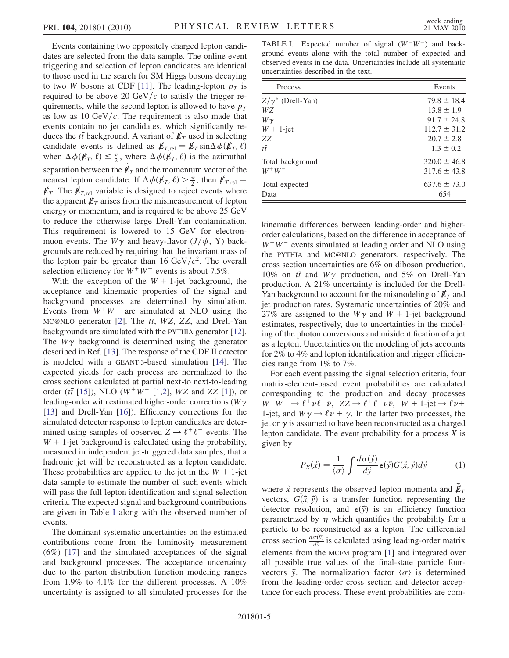Events containing two oppositely charged lepton candidates are selected from the data sample. The online event triggering and selection of lepton candidates are identical to those used in the search for SM Higgs bosons decaying to two *W* bosons at CDF [\[11\]](#page-10-2). The leading-lepton  $p<sub>T</sub>$  is required to be above 20 GeV/ $c$  to satisfy the trigger requirements, while the second lepton is allowed to have  $p<sub>T</sub>$ as low as 10 GeV/ $c$ . The requirement is also made that events contain no jet candidates, which significantly reduces the *tt* background. A variant of  $\not\mathbf{E}_T$  used in selecting<br>candidate events is defined as  $\not\mathbf{E}_{T-1} = \mathbf{E}_T \sin \Delta \phi(\mathbf{E}_T - \ell)$ candidate events is defined as  $\mathbf{E}_{T,\text{rel}} = \mathbf{E}_T \sin \Delta \phi(\mathbf{E}_T, \ell)$ <br>when  $\Delta \phi(\mathbf{E}_T, \ell) \leq \mathbf{E}$  where  $\Delta \phi(\mathbf{E}_T, \ell)$  is the azimuthal when  $\Delta \phi(\mathbf{E}_T, \ell) \leq \frac{\pi}{2}$ , where  $\Delta \phi(\mathbf{E}_T, \ell)$  is the azimuthal separation between the  $\vec{\mathbf{\ell}}_T$  and the momentum vector of the nearest lepton candidate. If  $\Lambda \phi(\mathbf{\mathbf{\ell}}_T, \ell) > \frac{\pi}{2}$  then  $\mathbf{\mathbf{\ell}}_{T-1} =$ nearest lepton candidate. If  $\Delta \phi(\mathbf{E}_T, \ell) > \frac{\pi}{2}$ , then  $\mathbf{E}_{T,\text{rel}} =$ <br>  $\mathbf{E}_{T,\text{rel}}$  The  $\mathbf{E}_{T,\text{rel}}$  variable is designed to reject events where  $\n *E*<sub>T.rel</sub>$  variable is designed to reject events where the apparent  $\not{E}_T$  arises from the mismeasurement of lepton energy or momentum, and is required to be above 25 GeV to reduce the otherwise large Drell-Yan contamination. This requirement is lowered to 15 GeV for electronmuon events. The  $W\gamma$  and heavy-flavor  $(J/\psi, Y)$  backgrounds are reduced by requiring that the invariant mass of the lepton pair be greater than 16 GeV/ $c^2$ . The overall selection efficiency for  $W^+W^-$  events is about 7.5%.

With the exception of the  $W + 1$ -jet background, the acceptance and kinematic properties of the signal and background processes are determined by simulation. Events from  $W^+W^-$  are simulated at NLO using the MC@NLO generator [[2](#page-9-31)]. The  $t\bar{t}$ , WZ, ZZ, and Drell-Yan backgrounds are simulated with the PYTHIA generator [[12\]](#page-10-3). The  $W\gamma$  background is determined using the generator described in Ref. [[13](#page-10-4)]. The response of the CDF II detector is modeled with a GEANT-3-based simulation [[14](#page-10-5)]. The expected yields for each process are normalized to the cross sections calculated at partial next-to next-to-leading order ( $t\bar{t}$  [\[15\]](#page-10-6)), NLO ( $W^{+}W^{-}$  [[1](#page-9-30)[,2\]](#page-9-31), WZ and ZZ [[1\]](#page-9-30)), or leading-order with estimated higher-order corrections ( $W\gamma$ [\[13\]](#page-10-4) and Drell-Yan [[16](#page-10-7)]). Efficiency corrections for the simulated detector response to lepton candidates are determined using samples of observed  $Z \rightarrow \ell^+ \ell^-$  events. The  $W + 1$ -jet background is calculated using the probability, measured in independent jet-triggered data samples, that a hadronic jet will be reconstructed as a lepton candidate. These probabilities are applied to the jet in the  $W + 1$ -jet data sample to estimate the number of such events which will pass the full lepton identification and signal selection criteria. The expected signal and background contributions are given in Table [I](#page-7-0) along with the observed number of events.

The dominant systematic uncertainties on the estimated contributions come from the luminosity measurement (6%) [\[17\]](#page-10-8) and the simulated acceptances of the signal and background processes. The acceptance uncertainty due to the parton distribution function modeling ranges from 1.9% to 4.1% for the different processes. A 10% uncertainty is assigned to all simulated processes for the

<span id="page-7-0"></span>TABLE I. Expected number of signal  $(W^+W^-)$  and background events along with the total number of expected and observed events in the data. Uncertainties include all systematic uncertainties described in the text.

| Process                  | Events           |
|--------------------------|------------------|
| $Z/\gamma^*$ (Drell-Yan) | $79.8 \pm 18.4$  |
| WZ.                      | $13.8 \pm 1.9$   |
| $W\gamma$                | $91.7 \pm 24.8$  |
| $W + 1$ -jet             | $112.7 \pm 31.2$ |
| ZZ                       | $20.7 \pm 2.8$   |
| $t\overline{t}$          | $1.3 \pm 0.2$    |
| Total background         | $320.0 \pm 46.8$ |
| $W^+W^-$                 | $317.6 \pm 43.8$ |
| Total expected           | $637.6 \pm 73.0$ |
| Data                     | 654              |

kinematic differences between leading-order and higherorder calculations, based on the difference in acceptance of  $W^+W^-$  events simulated at leading order and NLO using the PYTHIA and MC@NLO generators, respectively. The cross section uncertainties are 6% on diboson production, 10% on  $t\bar{t}$  and  $W\gamma$  production, and 5% on Drell-Yan production. A 21% uncertainty is included for the Drell-Yan background to account for the mismodeling of  $\not\hspace{-.15cm}/\,^T$  and jet production rates. Systematic uncertainties of 20% and 27% are assigned to the  $W\gamma$  and  $W + 1$ -jet background estimates, respectively, due to uncertainties in the modeling of the photon conversions and misidentification of a jet as a lepton. Uncertainties on the modeling of jets accounts for 2% to 4% and lepton identification and trigger efficiencies range from 1% to 7%.

For each event passing the signal selection criteria, four matrix-element-based event probabilities are calculated corresponding to the production and decay processes  $W^+W^- \to \ell^+ \nu \ell^- \bar{\nu}$ ,  $ZZ \to \ell^+ \ell^- \nu \bar{\nu}$ ,  $W + 1$ -jet  $\to \ell \nu +$ 1-jet, and  $W\gamma \rightarrow \ell \nu + \gamma$ . In the latter two processes, the jet or  $\gamma$  is assumed to have been reconstructed as a charged lepton candidate. The event probability for a process  $X$  is given by

$$
P_X(\vec{x}) = \frac{1}{\langle \sigma \rangle} \int \frac{d\sigma(\vec{y})}{d\vec{y}} \epsilon(\vec{y}) G(\vec{x}, \vec{y}) d\vec{y}
$$
 (1)

where  $\vec{x}$  represents the observed lepton momenta and  $\vec{E}_T$ <br>vectors.  $G(\vec{x}, \vec{y})$  is a transfer function representing the vectors,  $G(\vec{x}, \vec{y})$  is a transfer function representing the detector resolution, and  $\epsilon(\vec{y})$  is an efficiency function parametrized by  $\eta$  which quantifies the probability for a particle to be reconstructed as a lepton. The differential cross section  $\frac{d\sigma(\vec{y})}{d\vec{y}}$  is calculated using leading-order matrix elements from the MCFM program [[1](#page-9-30)] and integrated over all possible true values of the final-state particle fourvectors  $\vec{y}$ . The normalization factor  $\langle \sigma \rangle$  is determined<br>from the leading-order cross section and detector accenfrom the leading-order cross section and detector acceptance for each process. These event probabilities are com-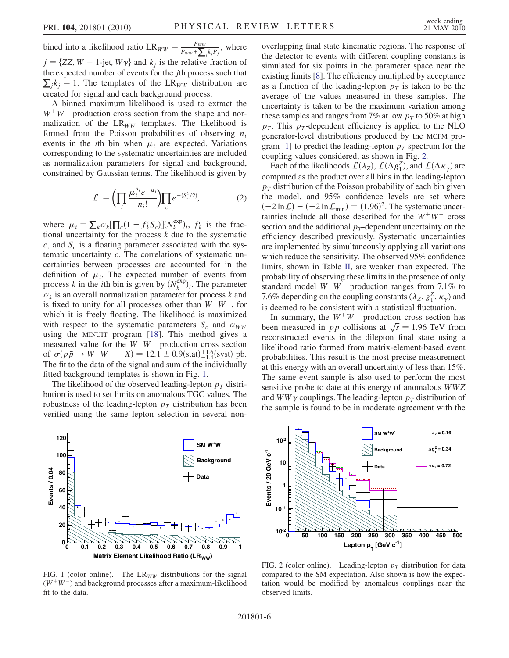bined into a likelihood ratio  $LR_{WW} = \frac{P_{WW}}{P_{WW} + \sum_j k_j P_j}$ , where  $j = \{ZZ, W + 1\text{-jet}, W\gamma\}$  and  $k_j$  is the relative fraction of the expected number of events for the jth process such that  $\sum_j k_j = 1$ . The templates of the LR<sub>WW</sub> distribution are created for signal and each background process.

A binned maximum likelihood is used to extract the  $W^+W^-$  production cross section from the shape and normalization of the  $LR_{WW}$  templates. The likelihood is formed from the Poisson probabilities of observing  $n_i$ events in the *i*th bin when  $\mu_i$  are expected. Variations corresponding to the systematic uncertainties are included as normalization parameters for signal and background, constrained by Gaussian terms. The likelihood is given by

$$
\mathcal{L} = \left(\prod_{i} \frac{\mu_i^{n_i} e^{-\mu_i}}{n_i!} \right) \prod_{c} e^{-(S_c^2/2)},\tag{2}
$$

where  $\mu_i = \sum_k \alpha_k [\prod_c (1 + f_k^c S_c)] (N_k^{\exp})_i$ ,  $f_k^c$  is the fractional uncertainty for the process k due to the systematic tional uncertainty for the process  $k$  due to the systematic  $c$ , and  $S_c$  is a floating parameter associated with the systematic uncertainty  $c$ . The correlations of systematic uncertainties between processes are accounted for in the definition of  $\mu_i$ . The expected number of events from process k in the *i*th bin is given by  $(N_k^{exp})_i$ . The parameter  $\alpha$ , is an overall normalization parameter for process k and  $\alpha_k$  is an overall normalization parameter for process k and is fixed to unity for all processes other than  $W^+W^-$ , for which it is freely floating. The likelihood is maximized with respect to the systematic parameters  $S_c$  and  $\alpha_{WW}$ using the MINUIT program [\[18\]](#page-10-9). This method gives a measured value for the  $W^+W^-$  production cross section of  $\sigma(p\bar{p} \rightarrow W^+W^- + X) = 12.1 \pm 0.9(\text{stat})^{+1.6}_{-1.4}(\text{syst})$  pb.<br>The fit to the data of the signal and sum of the individually The fit to the data of the signal and sum of the individually fitted background templates is shown in Fig. [1](#page-8-0).

The likelihood of the observed leading-lepton  $p_T$  distribution is used to set limits on anomalous TGC values. The robustness of the leading-lepton  $p<sub>T</sub>$  distribution has been verified using the same lepton selection in several non-

<span id="page-8-0"></span>

FIG. 1 (color online). The  $LR_{WW}$  distributions for the signal  $(W^+W^-)$  and background processes after a maximum-likelihood fit to the data.

overlapping final state kinematic regions. The response of the detector to events with different coupling constants is simulated for six points in the parameter space near the existing limits [\[8](#page-9-37)]. The efficiency multiplied by acceptance as a function of the leading-lepton  $p<sub>T</sub>$  is taken to be the average of the values measured in these samples. The uncertainty is taken to be the maximum variation among these samples and ranges from 7% at low  $p_T$  to 50% at high  $p_T$ . This  $p_T$ -dependent efficiency is applied to the NLO generator-level distributions produced by the MCFM pro-gram [[1](#page-9-30)] to predict the leading-lepton  $p_T$  spectrum for the coupling values considered, as shown in Fig. [2.](#page-8-1)

Each of the likelihoods  $\mathcal{L}(\lambda_Z)$ ,  $\mathcal{L}(\Delta g_1^Z)$ , and  $\mathcal{L}(\Delta \kappa_\gamma)$  are<br>mputed as the product over all hins in the leading-lepton computed as the product over all bins in the leading-lepton  $p_T$  distribution of the Poisson probability of each bin given the model, and 95% confidence levels are set where  $(-2 \ln \mathcal{L}) - (-2 \ln \mathcal{L}_{min}) = (1.96)^2$ . The systematic uncertainties include all those described for the  $W^+W^-$  cross tainties include all those described for the  $W^+W^-$  cross section and the additional  $p_T$ -dependent uncertainty on the efficiency described previously. Systematic uncertainties are implemented by simultaneously applying all variations which reduce the sensitivity. The observed 95% confidence limits, shown in Table [II,](#page-9-38) are weaker than expected. The probability of observing these limits in the presence of only standard model  $W^+W^-$  production ranges from 7.1% to 7.6% depending on the coupling constants ( $\lambda_Z$ ,  $g_1^Z$ ,  $\kappa_\gamma$ ) and is deemed to be consistent with a statistical fluctuation.

In summary, the  $W^+W^-$  production cross section has been measured in  $p\bar{p}$  collisions at  $\sqrt{s} = 1.96$  TeV from reconstructed events in the dilenton final state using a reconstructed events in the dilepton final state using a likelihood ratio formed from matrix-element-based event probabilities. This result is the most precise measurement at this energy with an overall uncertainty of less than 15%. The same event sample is also used to perform the most sensitive probe to date at this energy of anomalous WWZ and  $WW\gamma$  couplings. The leading-lepton  $p<sub>T</sub>$  distribution of the sample is found to be in moderate agreement with the

<span id="page-8-1"></span>

FIG. 2 (color online). Leading-lepton  $p<sub>T</sub>$  distribution for data compared to the SM expectation. Also shown is how the expectation would be modified by anomalous couplings near the observed limits.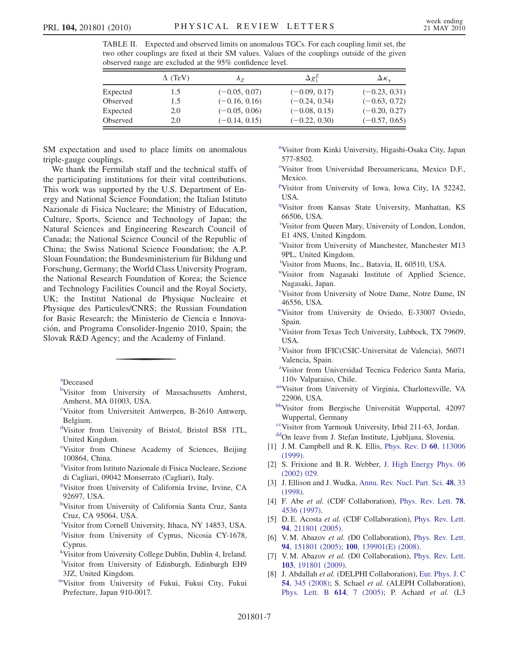<span id="page-9-38"></span>TABLE II. Expected and observed limits on anomalous TGCs. For each coupling limit set, the two other couplings are fixed at their SM values. Values of the couplings outside of the given observed range are excluded at the 95% confidence level.

|          | $\Lambda$ (TeV) | $\Lambda_7$     | $\Delta g_1^2$  | $\Delta \kappa_{\gamma}$ |
|----------|-----------------|-----------------|-----------------|--------------------------|
| Expected | 1.5             | $(-0.05, 0.07)$ | $(-0.09, 0.17)$ | $(-0.23, 0.31)$          |
| Observed | 1.5             | $(-0.16, 0.16)$ | $(-0.24, 0.34)$ | $(-0.63, 0.72)$          |
| Expected | 2.0             | $(-0.05, 0.06)$ | $(-0.08, 0.15)$ | $(-0.20, 0.27)$          |
| Observed | 2.0             | $(-0.14, 0.15)$ | $(-0.22, 0.30)$ | $(-0.57, 0.65)$          |

SM expectation and used to place limits on anomalous triple-gauge couplings.

We thank the Fermilab staff and the technical staffs of the participating institutions for their vital contributions. This work was supported by the U.S. Department of Energy and National Science Foundation; the Italian Istituto Nazionale di Fisica Nucleare; the Ministry of Education, Culture, Sports, Science and Technology of Japan; the Natural Sciences and Engineering Research Council of Canada; the National Science Council of the Republic of China; the Swiss National Science Foundation; the A.P. Sloan Foundation; the Bundesministerium für Bildung und Forschung, Germany; the World Class University Program, the National Research Foundation of Korea; the Science and Technology Facilities Council and the Royal Society, UK; the Institut National de Physique Nucleaire et Physique des Particules/CNRS; the Russian Foundation for Basic Research; the Ministerio de Ciencia e Innovacio´n, and Programa Consolider-Ingenio 2010, Spain; the Slovak R&D Agency; and the Academy of Finland.

<span id="page-9-20"></span><span id="page-9-2"></span>[a](#page-4-0) Deceased

- <span id="page-9-25"></span>[b](#page-3-0)Visitor from University of Massachusetts Amherst, Amherst, MA 01003, USA.
- <span id="page-9-10"></span>[c](#page-4-1) Visitor from Universiteit Antwerpen, B-2610 Antwerp, Belgium.
- <span id="page-9-29"></span>[d](#page-3-1) Visitor from University of Bristol, Bristol BS8 1TL, United Kingdom.
- <span id="page-9-15"></span>[e](#page-4-2) Visitor from Chinese Academy of Sciences, Beijing 100864, China.
- [f](#page-3-2) Visitor from Istituto Nazionale di Fisica Nucleare, Sezione di Cagliari, 09042 Monserrato (Cagliari), Italy.
- <span id="page-9-19"></span><span id="page-9-7"></span>[g](#page-3-3) Visitor from University of California Irvine, Irvine, CA 92697, USA.
- <span id="page-9-24"></span><sup>[h](#page-3-4)</sup>Visitor from University of California Santa Cruz, Santa Cruz, CA 95064, USA.
- <span id="page-9-22"></span>[i](#page-4-3) Visitor from Cornell University, Ithaca, NY 14853, USA.
- <span id="page-9-17"></span><sup>[j](#page-4-4)</sup>Visitor from University of Cyprus, Nicosia CY-1678, Cyprus.
- <span id="page-9-16"></span>[k](#page-3-5) Visitor from University College Dublin, Dublin 4, Ireland.
- <sup>1</sup>Visitor from University of Edinburgh, Edinburgh EH9 3JZ, United Kingdom.
- <span id="page-9-28"></span>[mV](#page-4-5)isitor from University of Fukui, Fukui City, Fukui Prefecture, Japan 910-0017.
- <span id="page-9-12"></span>[n](#page-3-7) Visitor from Kinki University, Higashi-Osaka City, Japan 577-8502.
- <span id="page-9-4"></span><sup>[o](#page-3-8)</sup>Visitor from Universidad Iberoamericana, Mexico D.F., Mexico.
- <span id="page-9-6"></span>[p](#page-3-9) Visitor from University of Iowa, Iowa City, IA 52242, USA.
- <span id="page-9-11"></span><sup>[q](#page-3-10)</sup>Visitor from Kansas State University, Manhattan, KS 66506, USA.
- <span id="page-9-5"></span><sup>[r](#page-3-11)</sup>Visitor from Queen Mary, University of London, London, E1 4NS, United Kingdom.
- <span id="page-9-27"></span>[s](#page-4-6) Visitor from University of Manchester, Manchester M13 9PL, United Kingdom.
- <span id="page-9-9"></span>[t](#page-3-12) Visitor from Muons, Inc., Batavia, IL 60510, USA.
- <span id="page-9-23"></span><s[u](#page-4-7)p>u</sup>Visitor from Nagasaki Institute of Applied Science, Nagasaki, Japan.
- <span id="page-9-13"></span>[v](#page-3-13) Visitor from University of Notre Dame, Notre Dame, IN 46556, USA.
- <span id="page-9-0"></span>[wV](#page-3-14)isitor from University de Oviedo, E-33007 Oviedo, Spain.
- <span id="page-9-14"></span>[x](#page-3-15) Visitor from Texas Tech University, Lubbock, TX 79609, USA.
- <span id="page-9-3"></span>[y](#page-3-16) Visitor from IFIC(CSIC-Universitat de Valencia), 56071 Valencia, Spain.
- <span id="page-9-21"></span><sup>[z](#page-4-4)</sup>Visitor from Universidad Tecnica Federico Santa Maria, 110v Valparaiso, Chile.
- <span id="page-9-18"></span>[aaV](#page-3-4)isitor from University of Virginia, Charlottesville, VA 22906, USA.
- <span id="page-9-26"></span>[bbV](#page-4-8)isitor from Bergische Universität Wuppertal, 42097 Wuppertal, Germany
- <span id="page-9-8"></span><sup>cc</sup>Visitor from Yarmouk University, Irbid 211-63, Jordan.
- <span id="page-9-1"></span><sup>dd</sup>On leave from J. Stefan Institute, Ljubljana, Slovenia.
- <span id="page-9-30"></span>[1] J. M. Campbell and R. K. Ellis, *[Phys. Rev. D](http://dx.doi.org/10.1103/PhysRevD.60.113006)* 60, 113006 [\(1999\)](http://dx.doi.org/10.1103/PhysRevD.60.113006).
- <span id="page-9-31"></span>[2] S. Frixione and B. R. Webber, [J. High Energy Phys. 06](http://dx.doi.org/10.1088/1126-6708/2002/06/029) [\(2002\) 029.](http://dx.doi.org/10.1088/1126-6708/2002/06/029)
- <span id="page-9-32"></span>[3] J. Ellison and J. Wudka, [Annu. Rev. Nucl. Part. Sci.](http://dx.doi.org/10.1146/annurev.nucl.48.1.33) 48, 33 [\(1998\)](http://dx.doi.org/10.1146/annurev.nucl.48.1.33).
- <span id="page-9-33"></span>[4] F. Abe et al. (CDF Collaboration), [Phys. Rev. Lett.](http://dx.doi.org/10.1103/PhysRevLett.78.4536) 78, [4536 \(1997\)](http://dx.doi.org/10.1103/PhysRevLett.78.4536).
- <span id="page-9-34"></span>[5] D. E. Acosta et al. (CDF Collaboration), [Phys. Rev. Lett.](http://dx.doi.org/10.1103/PhysRevLett.94.211801) 94[, 211801 \(2005\)](http://dx.doi.org/10.1103/PhysRevLett.94.211801).
- <span id="page-9-35"></span>[6] V.M. Abazov et al. (D0 Collaboration), [Phys. Rev. Lett.](http://dx.doi.org/10.1103/PhysRevLett.94.151801) 94[, 151801 \(2005\)](http://dx.doi.org/10.1103/PhysRevLett.94.151801); 100[, 139901\(E\) \(2008\)](http://dx.doi.org/10.1103/PhysRevLett.100.139901).
- <span id="page-9-36"></span>[7] V.M. Abazov et al. (D0 Collaboration), [Phys. Rev. Lett.](http://dx.doi.org/10.1103/PhysRevLett.103.191801) 103[, 191801 \(2009\)](http://dx.doi.org/10.1103/PhysRevLett.103.191801).
- <span id="page-9-37"></span>[8] J. Abdallah et al. (DELPHI Collaboration), [Eur. Phys. J. C](http://dx.doi.org/10.1140/epjc/s10052-008-0528-3) 54[, 345 \(2008\);](http://dx.doi.org/10.1140/epjc/s10052-008-0528-3) S. Schael et al. (ALEPH Collaboration), [Phys. Lett. B](http://dx.doi.org/10.1016/j.physletb.2005.03.058) 614, 7 (2005); P. Achard et al. (L3